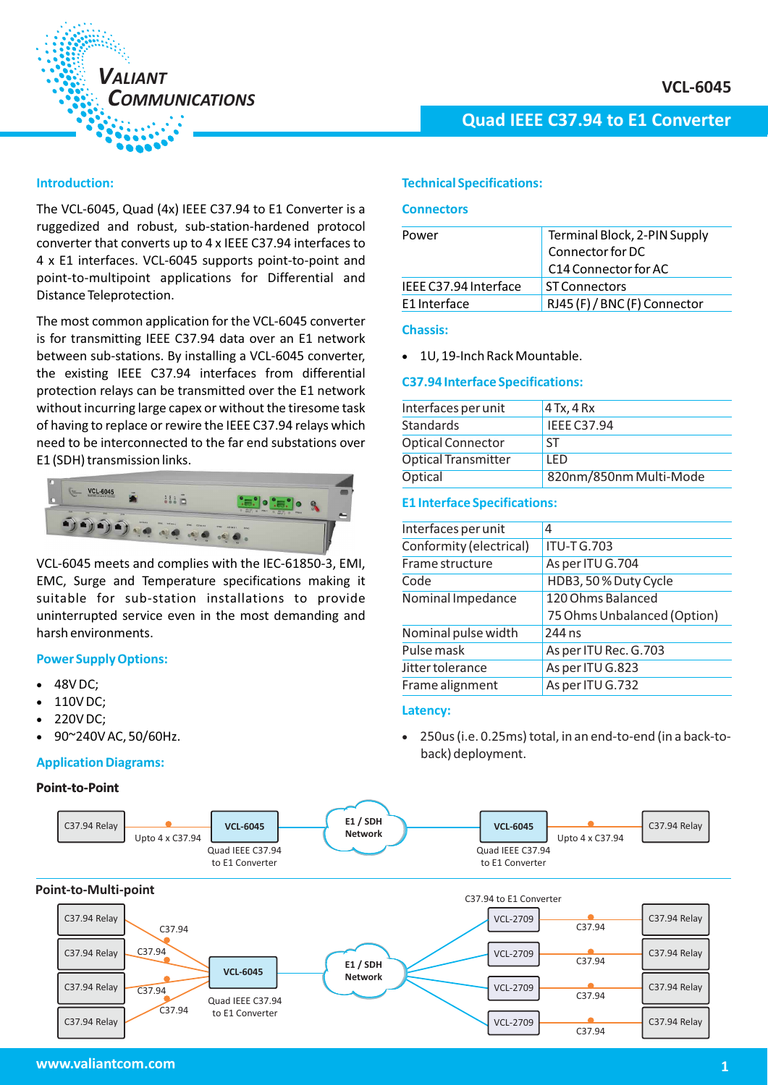

### **Introduction:**

The VCL-6045, Quad (4x) IEEE C37.94 to E1 Converter is a ruggedized and robust, sub-station-hardened protocol converter that converts up to 4 x IEEE C37.94 interfaces to 4 x E1 interfaces. VCL-6045 supports point-to-point and point-to-multipoint applications for Differential and Distance Teleprotection.

The most common application for the VCL-6045 converter is for transmitting IEEE C37.94 data over an E1 network between sub-stations. By installing a VCL-6045 converter, the existing IEEE C37.94 interfaces from differential protection relays can be transmitted over the E1 network without incurring large capex or without the tiresome task of having to replace or rewire the IEEE C37.94 relays which need to be interconnected to the far end substations over E1 (SDH) transmission links.



VCL-6045 meets and complies with the IEC-61850-3, EMI, EMC, Surge and Temperature specifications making it suitable for sub-station installations to provide uninterrupted service even in the most demanding and harsh environments.

### **Power Supply Options:**

- -48V DC;
- -110V DC;
- -220V DC;
- -90~240V AC, 50/60Hz.

#### **Application Diagrams:**

#### **Point-to-Point**



### **Technical Specifications:**

#### **Connectors**

| Power                 | Terminal Block, 2-PIN Supply<br>Connector for DC |
|-----------------------|--------------------------------------------------|
|                       | C <sub>14</sub> Connector for AC                 |
| IFFE C37.94 Interface | <b>ST Connectors</b>                             |
| E1 Interface          | RJ45 (F) / BNC (F) Connector                     |

### **Chassis:**

- 1U, 19-Inch Rack Mountable.

#### **C37.94 Interface Specifications:**

| Interfaces per unit        | $4$ Tx, $4$ Rx         |
|----------------------------|------------------------|
| <b>Standards</b>           | <b>IEEE C37.94</b>     |
| <b>Optical Connector</b>   | <b>ST</b>              |
| <b>Optical Transmitter</b> | I FD                   |
| Optical                    | 820nm/850nm Multi-Mode |

### **E1 Interface Specifications:**

| Interfaces per unit     | 4                           |
|-------------------------|-----------------------------|
| Conformity (electrical) | <b>ITU-TG.703</b>           |
| Frame structure         | As per ITU G.704            |
| Code                    | HDB3, 50% Duty Cycle        |
| Nominal Impedance       | 120 Ohms Balanced           |
|                         | 75 Ohms Unbalanced (Option) |
| Nominal pulse width     | 244 ns                      |
| Pulse mask              | As per ITU Rec. G.703       |
| <b>Jitter tolerance</b> | As per ITU G.823            |
|                         |                             |
| Frame alignment         | As per ITU G.732            |

#### **Latency:**

- 250us (i.e. 0.25ms) total, in an end-to-end (in a back-toback) deployment.